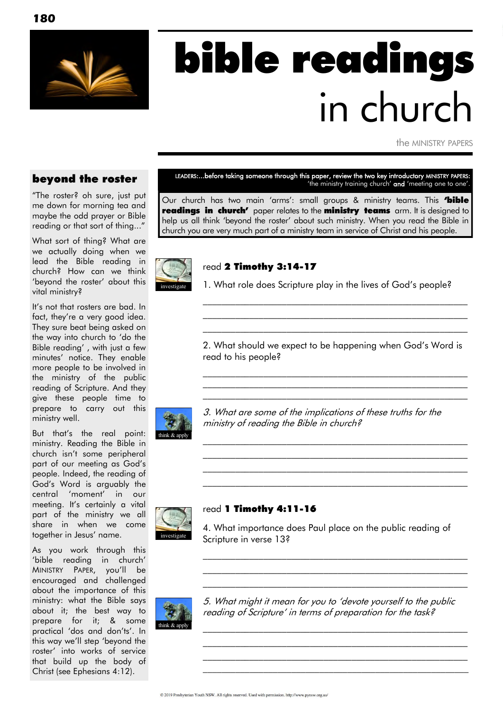

# bible readings in church

the MINISTRY PAPERS

#### beyond the roster

"The roster? oh sure, just put me down for morning tea and maybe the odd prayer or Bible reading or that sort of thing..."

What sort of thing? What are we actually doing when we lead the Bible reading in church? How can we think 'beyond the roster' about this vital ministry?

It's not that rosters are bad. In fact, they're a very good idea. They sure beat being asked on the way into church to "do the Bible reading" , with just a few minutes" notice. They enable more people to be involved in the ministry of the public reading of Scripture. And they give these people time to prepare to carry out this ministry well.

But that"s the real point: ministry. Reading the Bible in church isn"t some peripheral part of our meeting as God"s people. Indeed, the reading of God"s Word is arguably the central "moment" in our meeting. It's certainly a vital part of the ministry we all share in when we come together in Jesus' name.

As you work through this 'bible reading in church' MINISTRY PAPER, you"ll be encouraged and challenged about the importance of this ministry: what the Bible says about it; the best way to prepare for it; & some practical 'dos and don'ts'. In this way we"ll step "beyond the roster" into works of service that build up the body of Christ (see Ephesians 4:12).

LEADERS:...before taking someone through this paper, review the two key introductory MINISTRY PAPERS: 'the ministry training church' and 'meeting one to one'.

Our church has two main 'arms': small groups & ministry teams. This **'bible readings in church'** paper relates to the **ministry teams** arm. It is designed to help us all think "beyond the roster" about such ministry. When you read the Bible in church you are very much part of a ministry team in service of Christ and his people.



#### read 2 Timothy 3:14-17

1. What role does Scripture play in the lives of God"s people?

\_\_\_\_\_\_\_\_\_\_\_\_\_\_\_\_\_\_\_\_\_\_\_\_\_\_\_\_\_\_\_\_\_\_\_\_\_\_\_\_\_\_\_\_\_\_\_\_\_\_\_\_\_\_\_\_\_ \_\_\_\_\_\_\_\_\_\_\_\_\_\_\_\_\_\_\_\_\_\_\_\_\_\_\_\_\_\_\_\_\_\_\_\_\_\_\_\_\_\_\_\_\_\_\_\_\_\_\_\_\_\_\_\_\_ \_\_\_\_\_\_\_\_\_\_\_\_\_\_\_\_\_\_\_\_\_\_\_\_\_\_\_\_\_\_\_\_\_\_\_\_\_\_\_\_\_\_\_\_\_\_\_\_\_\_\_\_\_\_\_\_\_

2. What should we expect to be happening when God"s Word is read to his people?

 $\mathcal{L}_\text{max}$  and the contract of the contract of the contract of the contract of the contract of the contract of  $\mathcal{L}_\text{max}$  and the contract of the contract of the contract of the contract of the contract of the contract of \_\_\_\_\_\_\_\_\_\_\_\_\_\_\_\_\_\_\_\_\_\_\_\_\_\_\_\_\_\_\_\_\_\_\_\_\_\_\_\_\_\_\_\_\_\_\_\_\_\_\_\_\_\_\_\_\_

 $\mathcal{L}_\text{max}$  and the contract of the contract of the contract of the contract of the contract of the contract of  $\mathcal{L}_\text{max}$  and the contract of the contract of the contract of the contract of the contract of the contract of  $\mathcal{L}_\text{max}$  and the contract of the contract of the contract of the contract of the contract of the contract of \_\_\_\_\_\_\_\_\_\_\_\_\_\_\_\_\_\_\_\_\_\_\_\_\_\_\_\_\_\_\_\_\_\_\_\_\_\_\_\_\_\_\_\_\_\_\_\_\_\_\_\_\_\_\_\_\_



3. What are some of the implications of these truths for the ministry of reading the Bible in church?

## investigate

#### read 1 Timothy 4:11-16

4. What importance does Paul place on the public reading of Scripture in verse 13?

 $\mathcal{L}_\text{max}$  and the contract of the contract of the contract of the contract of the contract of the contract of  $\mathcal{L}_\text{max}$  and the contract of the contract of the contract of the contract of the contract of the contract of  $\mathcal{L}_\text{max}$  and the contract of the contract of the contract of the contract of the contract of the contract of



5. What might it mean for you to "devote yourself to the public reading of Scripture' in terms of preparation for the task?

 $\mathcal{L}_\text{max}$  and the contract of the contract of the contract of the contract of the contract of the contract of  $\mathcal{L}_\text{max}$  and the contract of the contract of the contract of the contract of the contract of the contract of  $\mathcal{L}_\text{max}$  and the contract of the contract of the contract of the contract of the contract of the contract of \_\_\_\_\_\_\_\_\_\_\_\_\_\_\_\_\_\_\_\_\_\_\_\_\_\_\_\_\_\_\_\_\_\_\_\_\_\_\_\_\_\_\_\_\_\_\_\_\_\_\_\_\_\_\_\_\_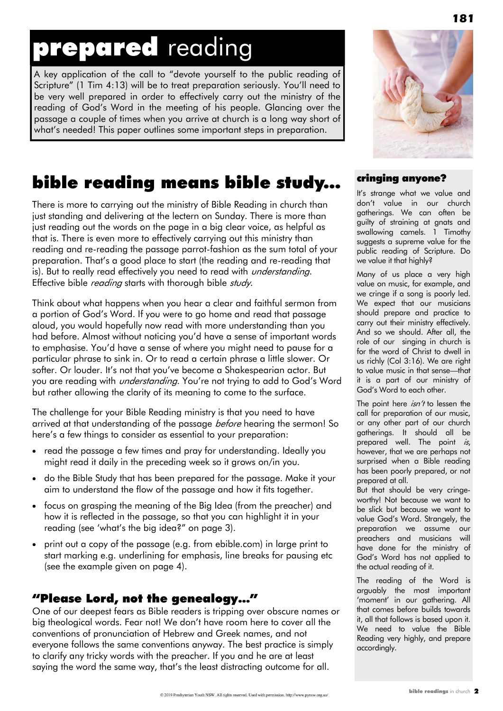## prepared reading

A key application of the call to "devote yourself to the public reading of Scripture" (1 Tim 4:13) will be to treat preparation seriously. You"ll need to be very well prepared in order to effectively carry out the ministry of the reading of God"s Word in the meeting of his people. Glancing over the passage a couple of times when you arrive at church is a long way short of what's needed! This paper outlines some important steps in preparation.

#### bible reading means bible study...

There is more to carrying out the ministry of Bible Reading in church than just standing and delivering at the lectern on Sunday. There is more than just reading out the words on the page in a big clear voice, as helpful as that is. There is even more to effectively carrying out this ministry than reading and re-reading the passage parrot-fashion as the sum total of your preparation. That"s a good place to start (the reading and re-reading that is). But to really read effectively you need to read with *understanding*. Effective bible *reading* starts with thorough bible *study*.

Think about what happens when you hear a clear and faithful sermon from a portion of God"s Word. If you were to go home and read that passage aloud, you would hopefully now read with more understanding than you had before. Almost without noticing you"d have a sense of important words to emphasise. You"d have a sense of where you might need to pause for a particular phrase to sink in. Or to read a certain phrase a little slower. Or softer. Or louder. It's not that you've become a Shakespearian actor. But you are reading with *understanding*. You're not trying to add to God's Word but rather allowing the clarity of its meaning to come to the surface.

The challenge for your Bible Reading ministry is that you need to have arrived at that understanding of the passage *before* hearing the sermon! So here's a few things to consider as essential to your preparation:

- read the passage a few times and pray for understanding. Ideally you might read it daily in the preceding week so it grows on/in you.
- do the Bible Study that has been prepared for the passage. Make it your aim to understand the flow of the passage and how it fits together.
- focus on grasping the meaning of the Big Idea (from the preacher) and how it is reflected in the passage, so that you can highlight it in your reading (see "what"s the big idea?" on page 3).
- print out a copy of the passage (e.g. from ebible.com) in large print to start marking e.g. underlining for emphasis, line breaks for pausing etc (see the example given on page 4).

#### "Please Lord, not the genealogy…"

One of our deepest fears as Bible readers is tripping over obscure names or big theological words. Fear not! We don"t have room here to cover all the conventions of pronunciation of Hebrew and Greek names, and not everyone follows the same conventions anyway. The best practice is simply to clarify any tricky words with the preacher. If you and he are at least saying the word the same way, that's the least distracting outcome for all.



#### cringing anyone?

It"s strange what we value and don"t value in our church gatherings. We can often be guilty of straining at gnats and swallowing camels. 1 Timothy suggests a supreme value for the public reading of Scripture. Do we value it that highly?

Many of us place a very high value on music, for example, and we cringe if a song is poorly led. We expect that our musicians should prepare and practice to carry out their ministry effectively. And so we should. After all, the role of our singing in church is for the word of Christ to dwell in us richly (Col 3:16). We are right to value music in that sense—that it is a part of our ministry of God"s Word to each other.

The point here  $\sin'$  to lessen the call for preparation of our music, or any other part of our church gatherings. It should all be prepared well. The point is, however, that we are perhaps not surprised when a Bible reading has been poorly prepared, or not prepared at all.

But that should be very cringeworthy! Not because we want to be slick but because we want to value God"s Word. Strangely, the preparation we assume our preachers and musicians will have done for the ministry of God"s Word has not applied to the actual reading of it.

The reading of the Word is arguably the most important 'moment' in our gathering. All that comes before builds towards it, all that follows is based upon it. We need to value the Bible Reading very highly, and prepare accordingly.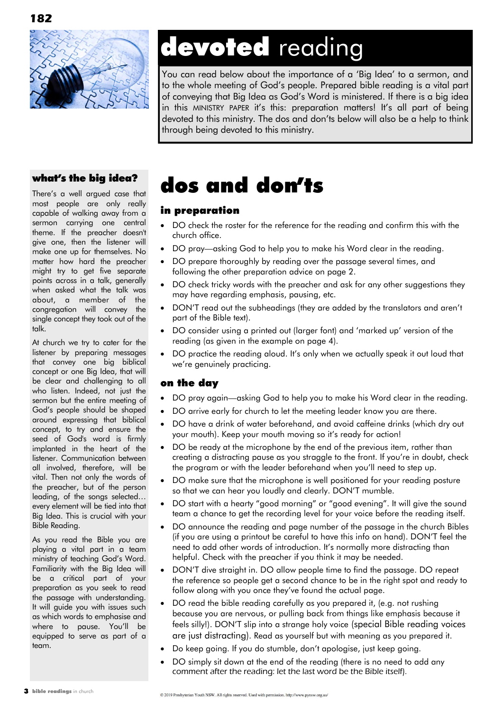



## devoted reading

You can read below about the importance of a "Big Idea" to a sermon, and to the whole meeting of God"s people. Prepared bible reading is a vital part of conveying that Big Idea as God"s Word is ministered. If there is a big idea in this MINISTRY PAPER it's this: preparation matters! It's all part of being devoted to this ministry. The dos and don"ts below will also be a help to think through being devoted to this ministry.

#### what"s the big idea?

There"s a well argued case that most people are only really capable of walking away from a sermon carrying one central theme. If the preacher doesn't give one, then the listener will make one up for themselves. No matter how hard the preacher might try to get five separate points across in a talk, generally when asked what the talk was about, a member of the congregation will convey the single concept they took out of the talk.

At church we try to cater for the listener by preparing messages that convey one big biblical concept or one Big Idea, that will be clear and challenging to all who listen. Indeed, not just the sermon but the entire meeting of God"s people should be shaped around expressing that biblical concept, to try and ensure the seed of God's word is firmly implanted in the heart of the listener. Communication between all involved, therefore, will be vital. Then not only the words of the preacher, but of the person leading, of the songs selected… every element will be tied into that Big Idea. This is crucial with your Bible Reading.

As you read the Bible you are playing a vital part in a team ministry of teaching God"s Word. Familiarity with the Big Idea will be a critical part of your preparation as you seek to read the passage with understanding. It will guide you with issues such as which words to emphasise and where to pause. You"ll be equipped to serve as part of a team.

### dos and don"ts

#### in preparation

- DO check the roster for the reference for the reading and confirm this with the church office.
- DO pray—asking God to help you to make his Word clear in the reading.
- DO prepare thoroughly by reading over the passage several times, and following the other preparation advice on page 2.
- DO check tricky words with the preacher and ask for any other suggestions they may have regarding emphasis, pausing, etc.
- DON"T read out the subheadings (they are added by the translators and aren"t part of the Bible text).
- DO consider using a printed out (larger font) and 'marked up' version of the reading (as given in the example on page 4).
- DO practice the reading aloud. It's only when we actually speak it out loud that we're genuinely practicing.

#### on the day

- DO pray again—asking God to help you to make his Word clear in the reading.
- DO arrive early for church to let the meeting leader know you are there.
- DO have a drink of water beforehand, and avoid caffeine drinks (which dry out your mouth). Keep your mouth moving so it's ready for action!
- DO be ready at the microphone by the end of the previous item, rather than creating a distracting pause as you straggle to the front. If you"re in doubt, check the program or with the leader beforehand when you"ll need to step up.
- DO make sure that the microphone is well positioned for your reading posture so that we can hear you loudly and clearly. DON"T mumble.
- DO start with a hearty "good morning" or "good evening". It will give the sound team a chance to get the recording level for your voice before the reading itself.
- DO announce the reading and page number of the passage in the church Bibles (if you are using a printout be careful to have this info on hand). DON"T feel the need to add other words of introduction. It"s normally more distracting than helpful. Check with the preacher if you think it may be needed.
- DON"T dive straight in. DO allow people time to find the passage. DO repeat the reference so people get a second chance to be in the right spot and ready to follow along with you once they've found the actual page.
- DO read the bible reading carefully as you prepared it, (e.g. not rushing because you are nervous, or pulling back from things like emphasis because it feels silly!). DON"T slip into a strange holy voice (special Bible reading voices are just distracting). Read as yourself but with meaning as you prepared it.
- Do keep going. If you do stumble, don"t apologise, just keep going.
- DO simply sit down at the end of the reading (there is no need to add any comment after the reading: let the last word be the Bible itself).